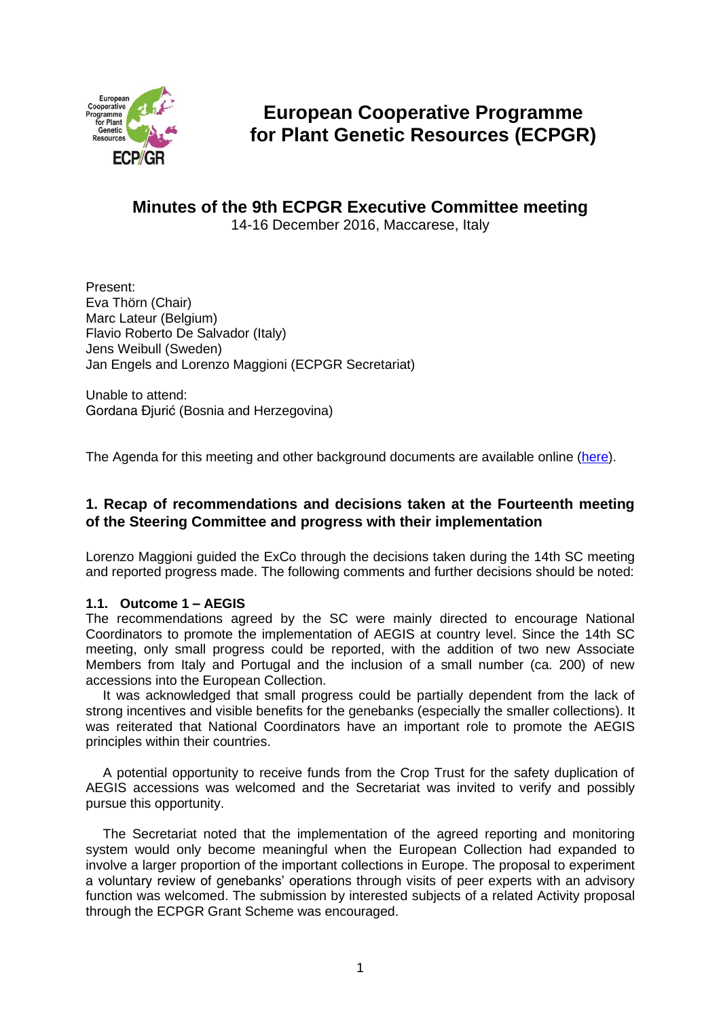

# **European Cooperative Programme for Plant Genetic Resources (ECPGR)**

# **Minutes of the 9th ECPGR Executive Committee meeting**

14-16 December 2016, Maccarese, Italy

Present: Eva Thörn (Chair) Marc Lateur (Belgium) Flavio Roberto De Salvador (Italy) Jens Weibull (Sweden) Jan Engels and Lorenzo Maggioni (ECPGR Secretariat)

Unable to attend: Gordana Đjurić (Bosnia and Herzegovina)

The Agenda for this meeting and other background documents are available online [\(here\)](http://www.ecpgr.cgiar.org/about-ecpgr/executive-committee/ninth-meeting-of-the-ecpgr-executive-committee/).

# **1. Recap of recommendations and decisions taken at the Fourteenth meeting of the Steering Committee and progress with their implementation**

Lorenzo Maggioni guided the ExCo through the decisions taken during the 14th SC meeting and reported progress made. The following comments and further decisions should be noted:

## **1.1. Outcome 1 – AEGIS**

The recommendations agreed by the SC were mainly directed to encourage National Coordinators to promote the implementation of AEGIS at country level. Since the 14th SC meeting, only small progress could be reported, with the addition of two new Associate Members from Italy and Portugal and the inclusion of a small number (ca. 200) of new accessions into the European Collection.

It was acknowledged that small progress could be partially dependent from the lack of strong incentives and visible benefits for the genebanks (especially the smaller collections). It was reiterated that National Coordinators have an important role to promote the AEGIS principles within their countries.

A potential opportunity to receive funds from the Crop Trust for the safety duplication of AEGIS accessions was welcomed and the Secretariat was invited to verify and possibly pursue this opportunity.

The Secretariat noted that the implementation of the agreed reporting and monitoring system would only become meaningful when the European Collection had expanded to involve a larger proportion of the important collections in Europe. The proposal to experiment a voluntary review of genebanks' operations through visits of peer experts with an advisory function was welcomed. The submission by interested subjects of a related Activity proposal through the ECPGR Grant Scheme was encouraged.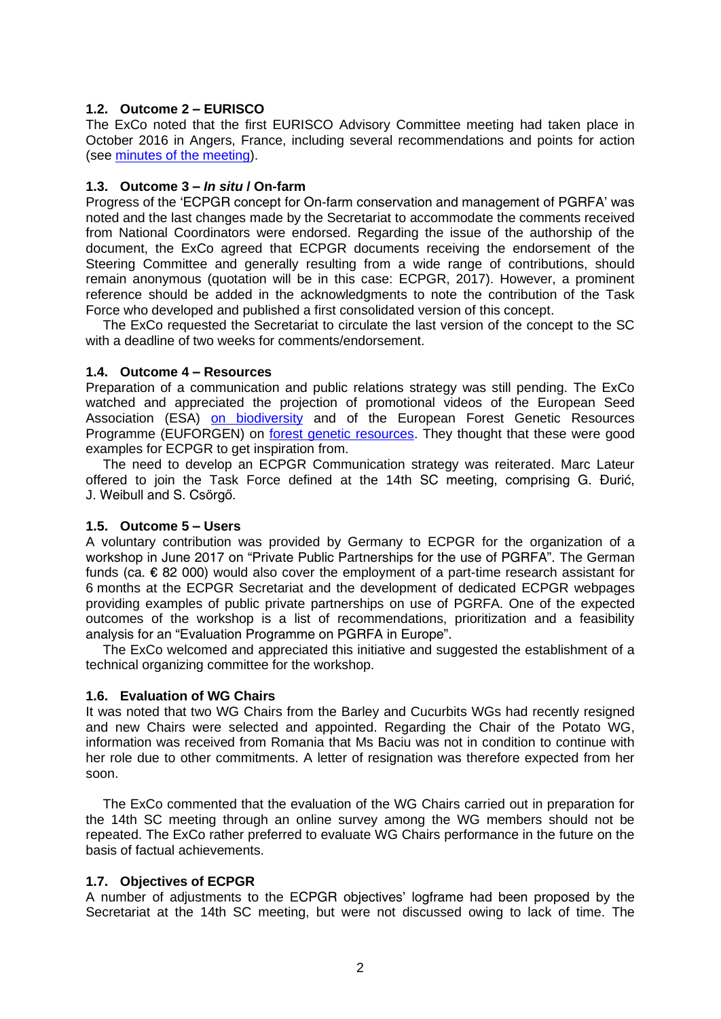# **1.2. Outcome 2 – EURISCO**

The ExCo noted that the first EURISCO Advisory Committee meeting had taken place in October 2016 in Angers, France, including several recommendations and points for action (see [minutes of the meeting\)](http://www.ecpgr.cgiar.org/fileadmin/templates/ecpgr.org/upload/WG_UPLOADS_PHASE_IX/EURISCO_TRAINING2016/Minutes_EURISCO_AC-_Angers_-_final.pdf).

# **1.3. Outcome 3 –** *In situ* **/ On-farm**

Progress of the 'ECPGR concept for On-farm conservation and management of PGRFA' was noted and the last changes made by the Secretariat to accommodate the comments received from National Coordinators were endorsed. Regarding the issue of the authorship of the document, the ExCo agreed that ECPGR documents receiving the endorsement of the Steering Committee and generally resulting from a wide range of contributions, should remain anonymous (quotation will be in this case: ECPGR, 2017). However, a prominent reference should be added in the acknowledgments to note the contribution of the Task Force who developed and published a first consolidated version of this concept.

The ExCo requested the Secretariat to circulate the last version of the concept to the SC with a deadline of two weeks for comments/endorsement.

## **1.4. Outcome 4 – Resources**

Preparation of a communication and public relations strategy was still pending. The ExCo watched and appreciated the projection of promotional videos of the European Seed Association (ESA) [on biodiversity](https://www.euroseeds.eu/) and of the European Forest Genetic Resources Programme (EUFORGEN) on [forest genetic resources.](https://www.youtube.com/watch?v=Yp3SVe41XDI) They thought that these were good examples for ECPGR to get inspiration from.

The need to develop an ECPGR Communication strategy was reiterated. Marc Lateur offered to join the Task Force defined at the 14th SC meeting, comprising G. Đurić, J. Weibull and S. Csörgő.

## **1.5. Outcome 5 – Users**

A voluntary contribution was provided by Germany to ECPGR for the organization of a workshop in June 2017 on "Private Public Partnerships for the use of PGRFA". The German funds (ca. € 82 000) would also cover the employment of a part-time research assistant for 6 months at the ECPGR Secretariat and the development of dedicated ECPGR webpages providing examples of public private partnerships on use of PGRFA. One of the expected outcomes of the workshop is a list of recommendations, prioritization and a feasibility analysis for an "Evaluation Programme on PGRFA in Europe".

The ExCo welcomed and appreciated this initiative and suggested the establishment of a technical organizing committee for the workshop.

## **1.6. Evaluation of WG Chairs**

It was noted that two WG Chairs from the Barley and Cucurbits WGs had recently resigned and new Chairs were selected and appointed. Regarding the Chair of the Potato WG, information was received from Romania that Ms Baciu was not in condition to continue with her role due to other commitments. A letter of resignation was therefore expected from her soon.

The ExCo commented that the evaluation of the WG Chairs carried out in preparation for the 14th SC meeting through an online survey among the WG members should not be repeated. The ExCo rather preferred to evaluate WG Chairs performance in the future on the basis of factual achievements.

## **1.7. Objectives of ECPGR**

A number of adjustments to the ECPGR objectives' logframe had been proposed by the Secretariat at the 14th SC meeting, but were not discussed owing to lack of time. The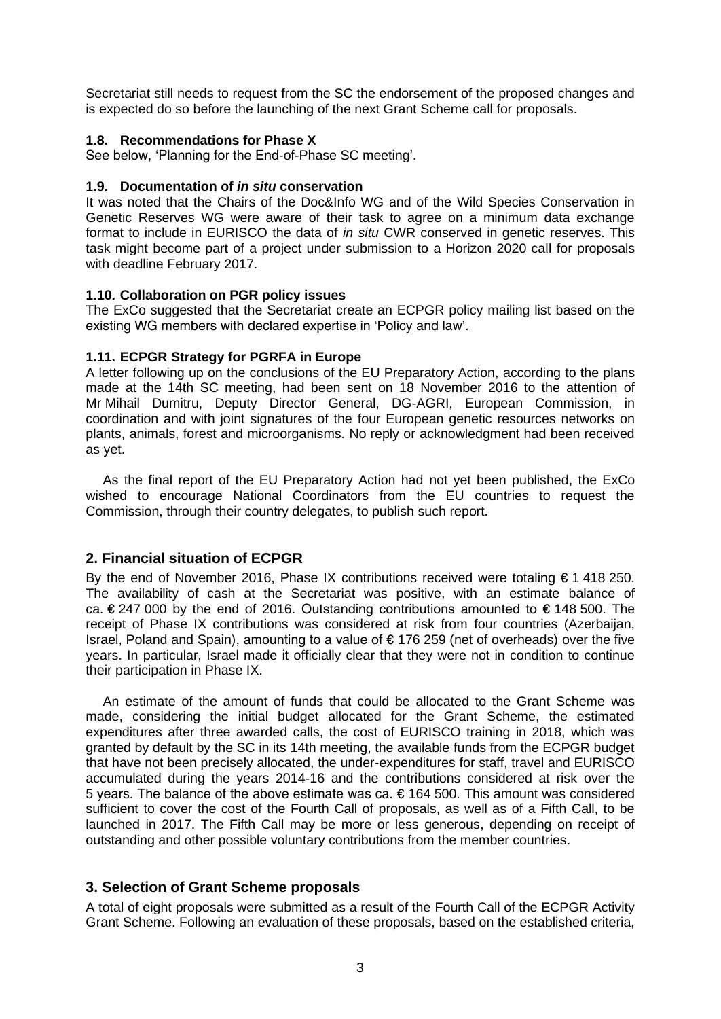Secretariat still needs to request from the SC the endorsement of the proposed changes and is expected do so before the launching of the next Grant Scheme call for proposals.

#### **1.8. Recommendations for Phase X**

See below, 'Planning for the End-of-Phase SC meeting'.

#### **1.9. Documentation of** *in situ* **conservation**

It was noted that the Chairs of the Doc&Info WG and of the Wild Species Conservation in Genetic Reserves WG were aware of their task to agree on a minimum data exchange format to include in EURISCO the data of *in situ* CWR conserved in genetic reserves. This task might become part of a project under submission to a Horizon 2020 call for proposals with deadline February 2017.

#### **1.10. Collaboration on PGR policy issues**

The ExCo suggested that the Secretariat create an ECPGR policy mailing list based on the existing WG members with declared expertise in 'Policy and law'.

#### **1.11. ECPGR Strategy for PGRFA in Europe**

A letter following up on the conclusions of the EU Preparatory Action, according to the plans made at the 14th SC meeting, had been sent on 18 November 2016 to the attention of Mr Mihail Dumitru, Deputy Director General, DG-AGRI, European Commission, in coordination and with joint signatures of the four European genetic resources networks on plants, animals, forest and microorganisms. No reply or acknowledgment had been received as yet.

As the final report of the EU Preparatory Action had not yet been published, the ExCo wished to encourage National Coordinators from the EU countries to request the Commission, through their country delegates, to publish such report.

## **2. Financial situation of ECPGR**

By the end of November 2016, Phase IX contributions received were totaling € 1 418 250. The availability of cash at the Secretariat was positive, with an estimate balance of ca.  $\epsilon$  247 000 by the end of 2016. Outstanding contributions amounted to  $\epsilon$  148 500. The receipt of Phase IX contributions was considered at risk from four countries (Azerbaijan, Israel, Poland and Spain), amounting to a value of € 176 259 (net of overheads) over the five years. In particular, Israel made it officially clear that they were not in condition to continue their participation in Phase IX.

An estimate of the amount of funds that could be allocated to the Grant Scheme was made, considering the initial budget allocated for the Grant Scheme, the estimated expenditures after three awarded calls, the cost of EURISCO training in 2018, which was granted by default by the SC in its 14th meeting, the available funds from the ECPGR budget that have not been precisely allocated, the under-expenditures for staff, travel and EURISCO accumulated during the years 2014-16 and the contributions considered at risk over the 5 years. The balance of the above estimate was ca. € 164 500. This amount was considered sufficient to cover the cost of the Fourth Call of proposals, as well as of a Fifth Call, to be launched in 2017. The Fifth Call may be more or less generous, depending on receipt of outstanding and other possible voluntary contributions from the member countries.

# **3. Selection of Grant Scheme proposals**

A total of eight proposals were submitted as a result of the Fourth Call of the ECPGR Activity Grant Scheme. Following an evaluation of these proposals, based on the established criteria,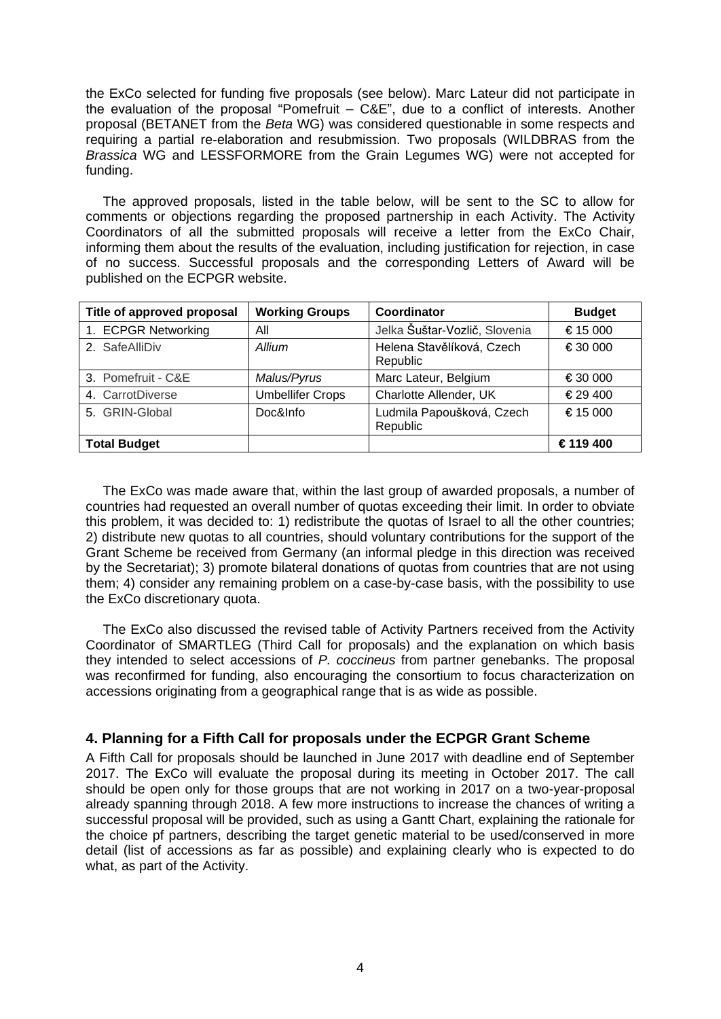the ExCo selected for funding five proposals (see below). Marc Lateur did not participate in the evaluation of the proposal "Pomefruit  $-$  C&E", due to a conflict of interests. Another proposal (BETANET from the *Beta* WG) was considered questionable in some respects and requiring a partial re-elaboration and resubmission. Two proposals (WILDBRAS from the *Brassica* WG and LESSFORMORE from the Grain Legumes WG) were not accepted for funding.

The approved proposals, listed in the table below, will be sent to the SC to allow for comments or objections regarding the proposed partnership in each Activity. The Activity Coordinators of all the submitted proposals will receive a letter from the ExCo Chair, informing them about the results of the evaluation, including justification for rejection, in case of no success. Successful proposals and the corresponding Letters of Award will be published on the ECPGR website.

| Title of approved proposal | <b>Working Groups</b>   | Coordinator                           | <b>Budget</b> |
|----------------------------|-------------------------|---------------------------------------|---------------|
| 1. ECPGR Networking        | All                     | Jelka Šuštar-Vozlič, Slovenia         | € 15 000      |
| 2. SafeAlliDiv             | Allium                  | Helena Stavělíková, Czech<br>Republic | € 30 000      |
| 3. Pomefruit - C&E         | Malus/Pyrus             | Marc Lateur, Belgium                  | € 30 000      |
| 4. CarrotDiverse           | <b>Umbellifer Crops</b> | Charlotte Allender, UK                | € 29 400      |
| 5. GRIN-Global             | Doc&Info                | Ludmila Papoušková, Czech<br>Republic | € 15 000      |
| <b>Total Budget</b>        |                         |                                       | € 119 400     |

The ExCo was made aware that, within the last group of awarded proposals, a number of countries had requested an overall number of quotas exceeding their limit. In order to obviate this problem, it was decided to: 1) redistribute the quotas of Israel to all the other countries; 2) distribute new quotas to all countries, should voluntary contributions for the support of the Grant Scheme be received from Germany (an informal pledge in this direction was received by the Secretariat); 3) promote bilateral donations of quotas from countries that are not using them; 4) consider any remaining problem on a case-by-case basis, with the possibility to use the ExCo discretionary quota.

The ExCo also discussed the revised table of Activity Partners received from the Activity Coordinator of SMARTLEG (Third Call for proposals) and the explanation on which basis they intended to select accessions of *P. coccineus* from partner genebanks. The proposal was reconfirmed for funding, also encouraging the consortium to focus characterization on accessions originating from a geographical range that is as wide as possible.

# **4. Planning for a Fifth Call for proposals under the ECPGR Grant Scheme**

A Fifth Call for proposals should be launched in June 2017 with deadline end of September 2017. The ExCo will evaluate the proposal during its meeting in October 2017. The call should be open only for those groups that are not working in 2017 on a two-year-proposal already spanning through 2018. A few more instructions to increase the chances of writing a successful proposal will be provided, such as using a Gantt Chart, explaining the rationale for the choice pf partners, describing the target genetic material to be used/conserved in more detail (list of accessions as far as possible) and explaining clearly who is expected to do what, as part of the Activity.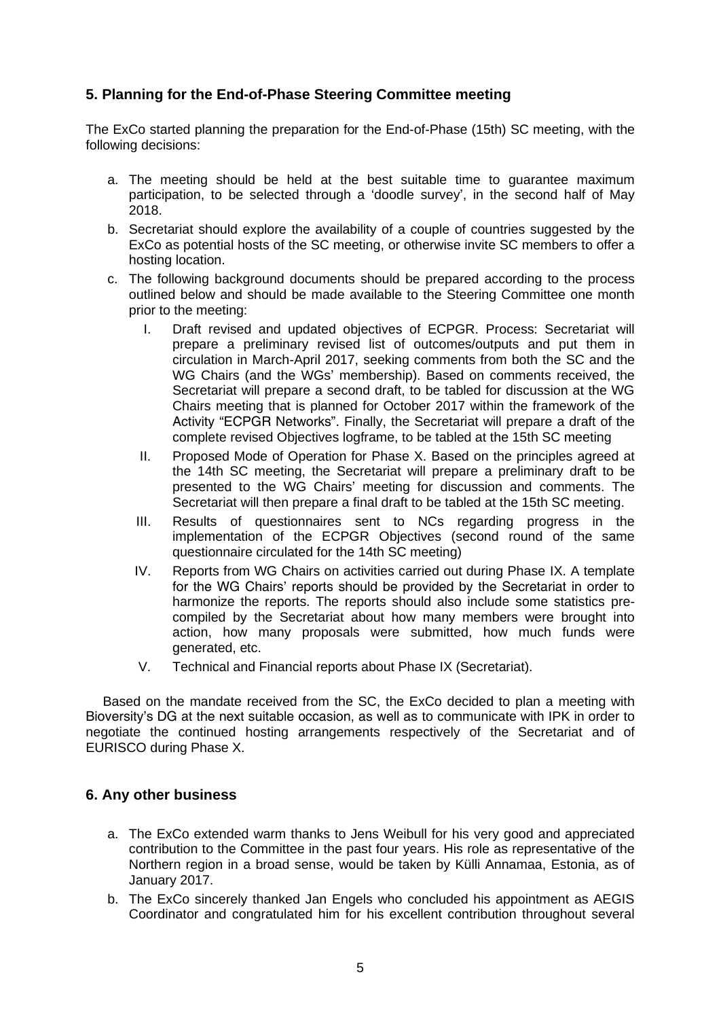# **5. Planning for the End-of-Phase Steering Committee meeting**

The ExCo started planning the preparation for the End-of-Phase (15th) SC meeting, with the following decisions:

- a. The meeting should be held at the best suitable time to guarantee maximum participation, to be selected through a 'doodle survey', in the second half of May 2018.
- b. Secretariat should explore the availability of a couple of countries suggested by the ExCo as potential hosts of the SC meeting, or otherwise invite SC members to offer a hosting location.
- c. The following background documents should be prepared according to the process outlined below and should be made available to the Steering Committee one month prior to the meeting:
	- I. Draft revised and updated objectives of ECPGR. Process: Secretariat will prepare a preliminary revised list of outcomes/outputs and put them in circulation in March-April 2017, seeking comments from both the SC and the WG Chairs (and the WGs' membership). Based on comments received, the Secretariat will prepare a second draft, to be tabled for discussion at the WG Chairs meeting that is planned for October 2017 within the framework of the Activity "ECPGR Networks". Finally, the Secretariat will prepare a draft of the complete revised Objectives logframe, to be tabled at the 15th SC meeting
	- II. Proposed Mode of Operation for Phase X. Based on the principles agreed at the 14th SC meeting, the Secretariat will prepare a preliminary draft to be presented to the WG Chairs' meeting for discussion and comments. The Secretariat will then prepare a final draft to be tabled at the 15th SC meeting.
	- III. Results of questionnaires sent to NCs regarding progress in the implementation of the ECPGR Objectives (second round of the same questionnaire circulated for the 14th SC meeting)
	- IV. Reports from WG Chairs on activities carried out during Phase IX. A template for the WG Chairs' reports should be provided by the Secretariat in order to harmonize the reports. The reports should also include some statistics precompiled by the Secretariat about how many members were brought into action, how many proposals were submitted, how much funds were generated, etc.
	- V. Technical and Financial reports about Phase IX (Secretariat).

Based on the mandate received from the SC, the ExCo decided to plan a meeting with Bioversity's DG at the next suitable occasion, as well as to communicate with IPK in order to negotiate the continued hosting arrangements respectively of the Secretariat and of EURISCO during Phase X.

# **6. Any other business**

- a. The ExCo extended warm thanks to Jens Weibull for his very good and appreciated contribution to the Committee in the past four years. His role as representative of the Northern region in a broad sense, would be taken by Külli Annamaa, Estonia, as of January 2017.
- b. The ExCo sincerely thanked Jan Engels who concluded his appointment as AEGIS Coordinator and congratulated him for his excellent contribution throughout several